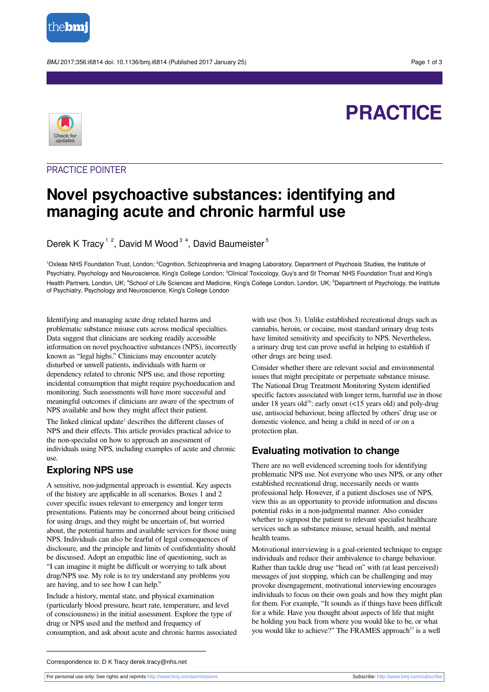

**PRACTICE**



# PRACTICE POINTER

# **Novel psychoactive substances: identifying and managing acute and chronic harmful use**

Derek K Tracy<sup>12</sup>, David M Wood<sup>34</sup>, David Baumeister<sup>5</sup>

1Oxleas NHS Foundation Trust, London; <sup>2</sup>Cognition, Schizophrenia and Imaging Laboratory, Department of Psychosis Studies, the Institute of Psychiatry, Psychology and Neuroscience, King's College London; <sup>3</sup>Clinical Toxicology, Guy's and St Thomas' NHS Foundation Trust and King's Health Partners, London, UK; <sup>4</sup>School of Life Sciences and Medicine, King's College London, London, UK; <sup>5</sup>Department of Psychology, the Institute of Psychiatry, Psychology and Neuroscience, King's College London

Identifying and managing acute drug related harms and problematic substance misuse cuts across medical specialties. Data suggest that clinicians are seeking readily accessible information on novel psychoactive substances (NPS), incorrectly known as "legal highs." Clinicians may encounter acutely disturbed or unwell patients, individuals with harm or dependency related to chronic NPS use, and those reporting incidental consumption that might require psychoeducation and monitoring. Such assessments will have more successful and meaningful outcomes if clinicians are aware of the spectrum of NPS available and how they might affect their patient.

The linked clinical update<sup>1</sup> describes the different classes of NPS and their effects. This article provides practical advice to the non-specialist on how to approach an assessment of individuals using NPS, including examples of acute and chronic use.

# **Exploring NPS use**

A sensitive, non-judgmental approach is essential. Key aspects of the history are applicable in all scenarios. Boxes 1 and 2 cover specific issues relevant to emergency and longer term presentations. Patients may be concerned about being criticised for using drugs, and they might be uncertain of, but worried about, the potential harms and available services for those using NPS. Individuals can also be fearful of legal consequences of disclosure, and the principle and limits of confidentiality should be discussed. Adopt an empathic line of questioning, such as "I can imagine it might be difficult or worrying to talk about drug/NPS use. My role is to try understand any problems you are having, and to see how I can help."

Include a history, mental state, and physical examination (particularly blood pressure, heart rate, temperature, and level of consciousness) in the initial assessment. Explore the type of drug or NPS used and the method and frequency of consumption, and ask about acute and chronic harms associated

with use (box 3). Unlike established recreational drugs such as cannabis, heroin, or cocaine, most standard urinary drug tests have limited sensitivity and specificity to NPS. Nevertheless, a urinary drug test can prove useful in helping to establish if other drugs are being used.

Consider whether there are relevant social and environmental issues that might precipitate or perpetuate substance misuse. The National Drug Treatment Monitoring System identified specific factors associated with longer term, harmful use in those under 18 years old<sup>16</sup>: early onset (<15 years old) and poly-drug use, antisocial behaviour, being affected by others' drug use or domestic violence, and being a child in need of or on a protection plan.

# **Evaluating motivation to change**

There are no well evidenced screening tools for identifying problematic NPS use. Not everyone who uses NPS, or any other established recreational drug, necessarily needs or wants professional help. However, if a patient discloses use of NPS, view this as an opportunity to provide information and discuss potential risks in a non-judgmental manner. Also consider whether to signpost the patient to relevant specialist healthcare services such as substance misuse, sexual health, and mental health teams.

Motivational interviewing is a goal-oriented technique to engage individuals and reduce their ambivalence to change behaviour. Rather than tackle drug use "head on" with (at least perceived) messages of just stopping, which can be challenging and may provoke disengagement, motivational interviewing encourages individuals to focus on their own goals and how they might plan for them. For example, "It sounds as if things have been difficult for a while. Have you thought about aspects of life that might be holding you back from where you would like to be, or what you would like to achieve?" The FRAMES approach<sup>17</sup> is a well

Correspondence to: D K Tracy derek.tracy@nhs.net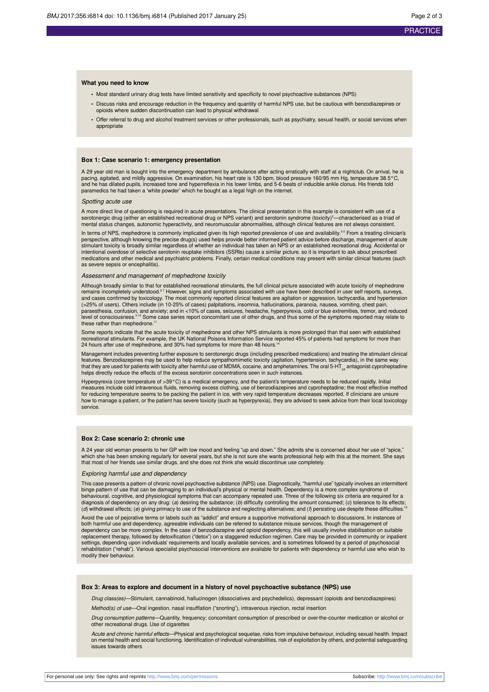# **What you need to know**

- **•** Most standard urinary drug tests have limited sensitivity and specificity to novel psychoactive substances (NPS)
- **•** Discuss risks and encourage reduction in the frequency and quantity of harmful NPS use, but be cautious with benzodiazepines or opioids where sudden discontinuation can lead to physical withdray
- **•** Offer referral to drug and alcohol treatment services or other professionals, such as psychiatry, sexual health, or social services when appropriate

### **Box 1: Case scenario 1: emergency presentation**

A 29 year old man is bought into the emergency department by ambulance after acting erratically with staff at a nightclub. On arrival, he is pacing, agitated, and mildly aggressive. On examination, his heart rate is 130 bpm, blood pressure 160/95 mm Hg, temperature 38.5°C, and he has dilated pupils, increased tone and hyperreflexia in his lower limbs, and 5-6 beats of inducible ankle clonus. His friends told paramedics he had taken a 'white powder' which he bought as a legal high on the internet.

#### Spotting acute use

A more direct line of questioning is required in acute presentations. The clinical presentation in this example is consistent with use of a serotonergic drug (either an established recreational drug or NPS variant) and serotonin syndrome (toxicity)<sup>2</sup>—characterised as a triad ot<br>mental status changes, autonomic hyperactivity, and neuromuscular abnormalities, a

In terms of NPS, mephedrone is commonly implicated given its high reported prevalence of use and availability.<sup>35</sup> From a treating clinician's perspective, although knowing the precise drug(s) used helps provide better informed patient advice before discharge, management of acute stimulant toxicity is broadly similar regardless of whether an individual has taken an NPS or an established recreational drug. Accidental or<br>intentional overdose of selective serotonin reuptake inhibitors (SSRIs) cause a medications and other medical and psychiatric problems. Finally, certain medical conditions may present with similar clinical features (such as severe sepsis or encephalitis).

## Assessment and management of mephedrone toxicity

Although broadly similar to that for established recreational stimulants, the full clinical picture associated with acute toxicity of mephedrone remains incompletely understood.<sup>67</sup> However, signs and symptoms associated with use have been described in user self reports, surveys,<br>and cases confirmed by toxicology. The most commonly reported clinical features are ag (>25% of users). Others include (in 10-25% of cases) palpitations, insomnia, hallucinations, paranoia, nausea, vomiting, chest pain, paraesthesia, confusion, and anxiety; and in <10% of cases, seizures, headache, hyperpyrexia, cold or blue extremities, tremor, and reduced<br>level of consciousness.<sup>343</sup> Some case series report concomitant use of other drug these rather than mephedrone.

Some reports indicate that the acute toxicity of mephedrone and other NPS stimulants is more prolonged than that seen with established recreational stimulants. For example, the UK National Poisons Information Service reported 45% of patients had symptoms for more than 24 hours after use of mephedrone, and 30% had symptoms for more than 48 hours.<sup>14</sup>

Management includes preventing further exposure to serotonergic drugs (including prescribed medications) and treating the stimulant clinical features. Benzodiazepines may be used to help reduce sympathomimetic toxicity (agitation, hypertension, tachycardia), in the same way that they are used for patients with toxicity after harmful use of MDMA, cocaine, and amphetamines. The oral 5-HT<sub>2</sub> antagonist cyproheptadine helps directly reduce the effects of the excess serotonin concentrations seen in such instances.

Hyperpyrexia (core temperature of >39°C) is a medical emergency, and the patient's temperature needs to be reduced rapidly. Initial measures include cold intravenous fluids, removing excess clothing, use of benzodiazepines and cyproheptadine; the most effective method<br>for reducing temperature seems to be packing the patient in ice, with very rapid temp how to manage a patient, or the patient has severe toxicity (such as hyperpyrexia), they are advised to seek advice from their local toxicology service.

### **Box 2: Case scenario 2: chronic use**

A 24 year old woman presents to her GP with low mood and feeling "up and down." She admits she is concerned about her use of "spice," which she has been smoking regularly for several years, but she is not sure she wants professional help with this at the moment. She says that most of her friends use similar drugs, and she does not think she would discontinue use completely.

#### Exploring harmful use and dependency

This case presents a pattern of chronic novel psychoactive substance (NPS) use. Diagnostically, "harmful use" typically involves an intermittent binge pattern of use that can be damaging to an individual's physical or mental health. Dependency is a more complex syndrome of<br>behavioural, cognitive, and physiological symptoms that can accompany repeated use. Three of diagnosis of dependency on any drug: (a) desiring the substance; (b) difficulty controlling the amount consumed; (c) tolerance to its effects;<br>(d) withdrawel offects: (e) giving rrimeau to use of the substance and podectin (d) withdrawal effects; (e) giving primacy to use of the substance and neglecting alternatives; and (f) persisting use despite these difficulties.

Avoid the use of pejorative terms or labels such as "addict" and ensure a supportive motivational approach to discussions. In instances of<br>both harmful use and dependency, agreeable individuals can be referred to substance dependency can be more complex. In the case of benzodiazepine and opioid dependency, this will usually involve stabilisation on suitable replacement therapy, followed by detoxification ("detox") on a staggered reduction regimen. Care may be provided in community or inpatient<br>settings, depending upon individuals' requirements and locally available services, modify their behaviour.

#### **Box 3: Areas to explore and document in a history of novel psychoactive substance (NPS) use**

Drug class(es)—Stimulant, cannabinoid, hallucinogen (dissociatives and psychedelics), depressant (opioids and benzodiazepines)

Method(s) of use-Oral ingestion, nasal insufflation ("snorting"), intravenous injection, rectal insertion

Drug consumption patterns—Quantity, frequency; concomitant consumption of prescribed or over-the-counter medication or alcohol or other recreational drugs. Use of cigarettes

Acute and chronic harmful effects—Physical and psychological sequelae, risks from impulsive behaviour, including sexual health. Impact on mental health and social functioning. Identification of individual vulnerabilities, risk of exploitation by others, and potential safeguarding issues towards others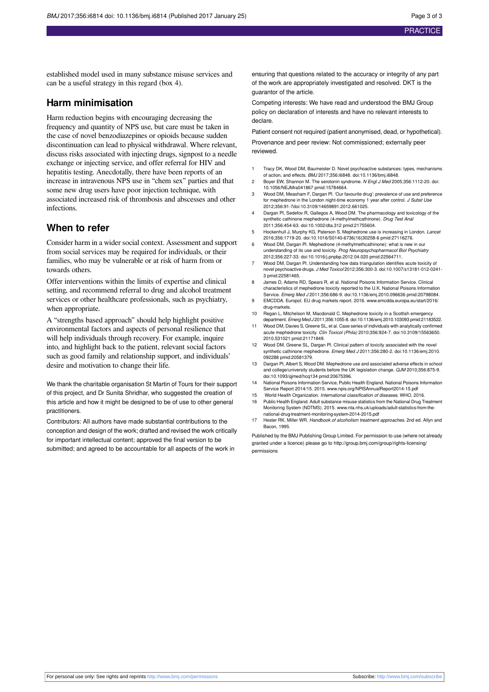established model used in many substance misuse services and can be a useful strategy in this regard (box 4).

# **Harm minimisation**

Harm reduction begins with encouraging decreasing the frequency and quantity of NPS use, but care must be taken in the case of novel benzodiazepines or opioids because sudden discontinuation can lead to physical withdrawal. Where relevant, discuss risks associated with injecting drugs, signpost to a needle exchange or injecting service, and offer referral for HIV and hepatitis testing. Anecdotally, there have been reports of an increase in intravenous NPS use in "chem sex" parties and that some new drug users have poor injection technique, with associated increased risk of thrombosis and abscesses and other infections.

# **When to refer**

Consider harm in a wider social context. Assessment and support from social services may be required for individuals, or their families, who may be vulnerable or at risk of harm from or towards others.

Offer interventions within the limits of expertise and clinical setting, and recommend referral to drug and alcohol treatment services or other healthcare professionals, such as psychiatry, when appropriate.

A "strengths based approach" should help highlight positive environmental factors and aspects of personal resilience that will help individuals through recovery. For example, inquire into, and highlight back to the patient, relevant social factors such as good family and relationship support, and individuals' desire and motivation to change their life.

We thank the charitable organisation St Martin of Tours for their support of this project, and Dr Sunita Shridhar, who suggested the creation of this article and how it might be designed to be of use to other general practitioners.

Contributors: All authors have made substantial contributions to the conception and design of the work; drafted and revised the work critically for important intellectual content; approved the final version to be submitted; and agreed to be accountable for all aspects of the work in

ensuring that questions related to the accuracy or integrity of any part of the work are appropriately investigated and resolved. DKT is the guarantor of the article.

Competing interests: We have read and understood the BMJ Group policy on declaration of interests and have no relevant interests to declare.

Patient consent not required (patient anonymised, dead, or hypothetical). Provenance and peer review: Not commissioned; externally peer reviewed.

- 1 Tracy DK, Wood DM, Baumeister D. Novel psychoactive substances: types, mechanisms of action, and effects. BMJ 2017;356:i6848. [doi:10.1136/bmj.i6848.](http://dx.doi.org/10.1136/bmj.i6848)
- 2 Boyer EW, Shannon M. The serotonin syndrome. N Engl J Med 2005;356:1112-20. [doi:](http://dx.doi.org/10.1056/NEJMra041867) [10.1056/NEJMra041867](http://dx.doi.org/10.1056/NEJMra041867) [pmid:15784664.](http://www.ncbi.nlm.nih.gov/pubmed/?term=15784664)
- 3 Wood DM, Measham F, Dargan PI. 'Our favourite drug': prevalence of use and preference for mephedrone in the London night-time economy 1 year after control. J Subst Use 2012;356:91-[7doi:10.3109/14659891.2012.661025](http://dx.doi.org/10.3109/14659891.2012.661025).
- 4 Dargan PI, Sedefov R, Gallegos A, Wood DM. The pharmacology and toxicology of the synthetic cathinone mephedrone (4-methylmethcathinone). Drug Test Anal 2011;356:454-63. [doi:10.1002/dta.312](http://dx.doi.org/10.1002/dta.312) [pmid:21755604](http://www.ncbi.nlm.nih.gov/pubmed/?term=21755604).
- 5 Hockenhull J, Murphy KG, Paterson S. Mephedrone use is increasing in London. Lancet 2016;356:1719-20. [doi:10.1016/S0140-6736\(16\)30258-6](http://dx.doi.org/10.1016/S0140-6736(16)30258-6) [pmid:27116276](http://www.ncbi.nlm.nih.gov/pubmed/?term=27116276).
- 6 Wood DM, Dargan PI. Mephedrone (4-methylmethcathinone): what is new in our understanding of its use and toxicity. Prog Neuropsychopharmacol Biol Psychiatry 2012;356:227-33. [doi:10.1016/j.pnpbp.2012.04.020](http://dx.doi.org/10.1016/j.pnpbp.2012.04.020) [pmid:22564711.](http://www.ncbi.nlm.nih.gov/pubmed/?term=22564711)
- 7 Wood DM, Dargan PI. Understanding how data triangulation identifies acute toxicity of novel psychoactive drugs. J Med Toxicol 2012;356:300-3. [doi:10.1007/s13181-012-0241-](http://dx.doi.org/10.1007/s13181-012-0241-3) [3](http://dx.doi.org/10.1007/s13181-012-0241-3) [pmid:22581465](http://www.ncbi.nlm.nih.gov/pubmed/?term=22581465).
- 8 James D, Adams RD, Spears R, et al. National Poisons Information Service. Clinical characteristics of mephedrone toxicity reported to the U.K. National Poisons Information Service. Emerg Med J 2011;356:686-9. [doi:10.1136/emj.2010.096636](http://dx.doi.org/10.1136/emj.2010.096636) [pmid:20798084.](http://www.ncbi.nlm.nih.gov/pubmed/?term=20798084)
- 9 EMCDDA. Europol. EU drug markets report. 2016. [www.emcdda.europa.eu/start/2016/](http://www.emcdda.europa.eu/start/2016/drug-markets) [drug-markets](http://www.emcdda.europa.eu/start/2016/drug-markets). 10 Regan L, Mitchelson M, Macdonald C. Mephedrone toxicity in a Scottish emergency
- department. Emerg Med J 2011;356:1055-8. [doi:10.1136/emj.2010.103093](http://dx.doi.org/10.1136/emj.2010.103093) [pmid:21183522](http://www.ncbi.nlm.nih.gov/pubmed/?term=21183522).
- 11 Wood DM, Davies S, Greene SL, et al. Case series of individuals with analytically confirmed acute mephedrone toxicity. Clin Toxicol (Phila) 2010;356:924-7. [doi:10.3109/15563650.](http://dx.doi.org/10.3109/15563650.2010.531021) [2010.531021](http://dx.doi.org/10.3109/15563650.2010.531021) [pmid:21171849.](http://www.ncbi.nlm.nih.gov/pubmed/?term=21171849)
- 12 Wood DM, Greene SL, Dargan PI. Clinical pattern of toxicity associated with the novel synthetic cathinone mephedrone. Emerg Med J 2011;356:280-2. [doi:10.1136/emj.2010.](http://dx.doi.org/10.1136/emj.2010.092288) [092288](http://dx.doi.org/10.1136/emj.2010.092288) [pmid:20581379.](http://www.ncbi.nlm.nih.gov/pubmed/?term=20581379)
- 13 Dargan PI, Albert S, Wood DM. Mephedrone use and associated adverse effects in school and college/university students before the UK legislation change. QJM 2010;356:875-9. [doi:10.1093/qjmed/hcq134](http://dx.doi.org/10.1093/qjmed/hcq134) [pmid:20675396](http://www.ncbi.nlm.nih.gov/pubmed/?term=20675396).
- 14 National Poisons Information Service, Public Health England. National Poisons Information Service Report 2014/15. 2015. [www.npis.org/NPISAnnualReport2014-15.pdf](http://www.npis.org/NPISAnnualReport2014-15.pdf)
- 15 World Health Organization. International classification of diseases. WHO, 2016. Public Health England. Adult substance misuse statistics from the National Drug Treatme Monitoring System (NDTMS). 2015. [www.nta.nhs.uk/uploads/adult-statistics-from-the-](http://www.nta.nhs.uk/uploads/adult-statistics-from-the-national-drug-treatment-monitoring-system-2014-2015.pdf)
- [national-drug-treatment-monitoring-system-2014-2015.pdf](http://www.nta.nhs.uk/uploads/adult-statistics-from-the-national-drug-treatment-monitoring-system-2014-2015.pdf) 17 Hester RK, Miller WR. Handbook of alcoholism treatment approaches. 2nd ed. Allyn and Bacon, 1995.

Published by the BMJ Publishing Group Limited. For permission to use (where not already granted under a licence) please go to [http://group.bmj.com/group/rights-licensing/](http://group.bmj.com/group/rights-licensing/permissions) [permissions](http://group.bmj.com/group/rights-licensing/permissions)